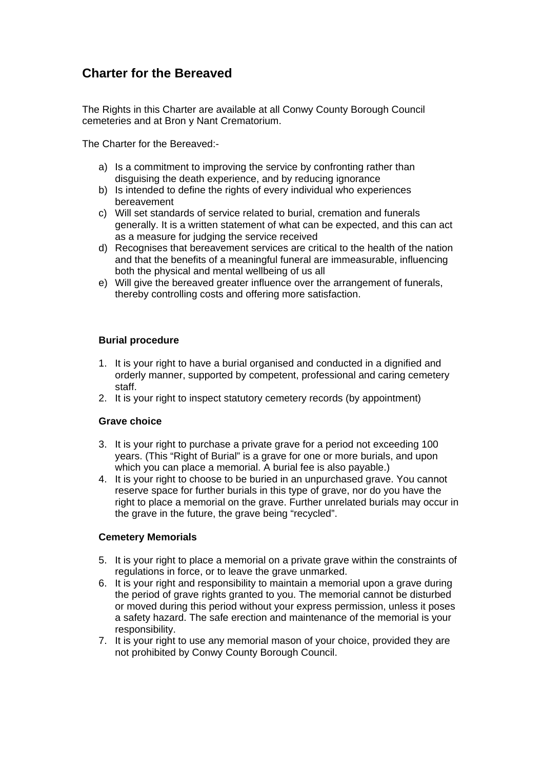# **Charter for the Bereaved**

The Rights in this Charter are available at all Conwy County Borough Council cemeteries and at Bron y Nant Crematorium.

The Charter for the Bereaved:-

- a) Is a commitment to improving the service by confronting rather than disguising the death experience, and by reducing ignorance
- b) Is intended to define the rights of every individual who experiences bereavement
- c) Will set standards of service related to burial, cremation and funerals generally. It is a written statement of what can be expected, and this can act as a measure for judging the service received
- d) Recognises that bereavement services are critical to the health of the nation and that the benefits of a meaningful funeral are immeasurable, influencing both the physical and mental wellbeing of us all
- e) Will give the bereaved greater influence over the arrangement of funerals, thereby controlling costs and offering more satisfaction.

## **Burial procedure**

- 1. It is your right to have a burial organised and conducted in a dignified and orderly manner, supported by competent, professional and caring cemetery staff.
- 2. It is your right to inspect statutory cemetery records (by appointment)

## **Grave choice**

- 3. It is your right to purchase a private grave for a period not exceeding 100 years. (This "Right of Burial" is a grave for one or more burials, and upon which you can place a memorial. A burial fee is also payable.)
- 4. It is your right to choose to be buried in an unpurchased grave. You cannot reserve space for further burials in this type of grave, nor do you have the right to place a memorial on the grave. Further unrelated burials may occur in the grave in the future, the grave being "recycled".

## **Cemetery Memorials**

- 5. It is your right to place a memorial on a private grave within the constraints of regulations in force, or to leave the grave unmarked.
- 6. It is your right and responsibility to maintain a memorial upon a grave during the period of grave rights granted to you. The memorial cannot be disturbed or moved during this period without your express permission, unless it poses a safety hazard. The safe erection and maintenance of the memorial is your responsibility.
- 7. It is your right to use any memorial mason of your choice, provided they are not prohibited by Conwy County Borough Council.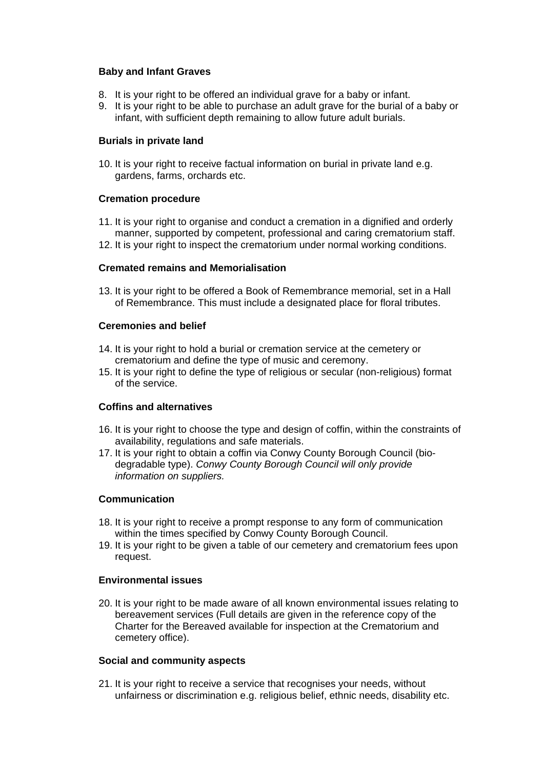#### **Baby and Infant Graves**

- 8. It is your right to be offered an individual grave for a baby or infant.
- 9. It is your right to be able to purchase an adult grave for the burial of a baby or infant, with sufficient depth remaining to allow future adult burials.

## **Burials in private land**

10. It is your right to receive factual information on burial in private land e.g. gardens, farms, orchards etc.

#### **Cremation procedure**

- 11. It is your right to organise and conduct a cremation in a dignified and orderly manner, supported by competent, professional and caring crematorium staff.
- 12. It is your right to inspect the crematorium under normal working conditions.

#### **Cremated remains and Memorialisation**

13. It is your right to be offered a Book of Remembrance memorial, set in a Hall of Remembrance. This must include a designated place for floral tributes.

#### **Ceremonies and belief**

- 14. It is your right to hold a burial or cremation service at the cemetery or crematorium and define the type of music and ceremony.
- 15. It is your right to define the type of religious or secular (non-religious) format of the service.

## **Coffins and alternatives**

- 16. It is your right to choose the type and design of coffin, within the constraints of availability, regulations and safe materials.
- 17. It is your right to obtain a coffin via Conwy County Borough Council (biodegradable type). *Conwy County Borough Council will only provide information on suppliers.*

## **Communication**

- 18. It is your right to receive a prompt response to any form of communication within the times specified by Conwy County Borough Council.
- 19. It is your right to be given a table of our cemetery and crematorium fees upon request.

#### **Environmental issues**

20. It is your right to be made aware of all known environmental issues relating to bereavement services (Full details are given in the reference copy of the Charter for the Bereaved available for inspection at the Crematorium and cemetery office).

#### **Social and community aspects**

21. It is your right to receive a service that recognises your needs, without unfairness or discrimination e.g. religious belief, ethnic needs, disability etc.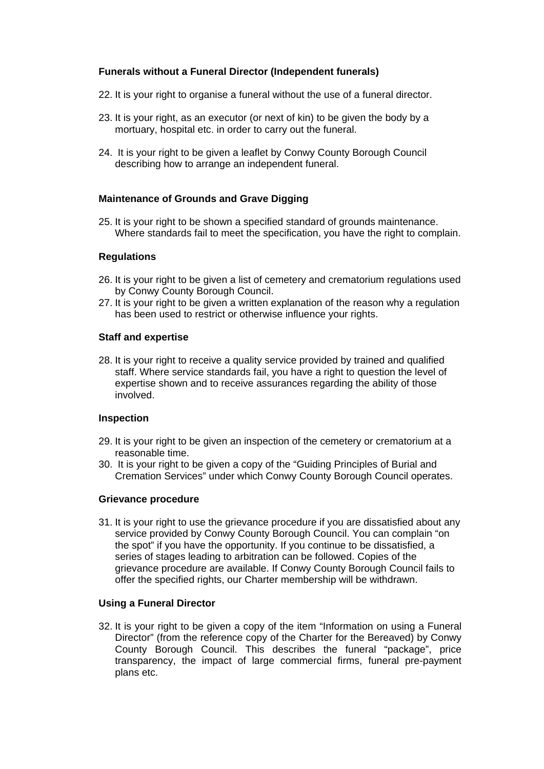## **Funerals without a Funeral Director (Independent funerals)**

- 22. It is your right to organise a funeral without the use of a funeral director.
- 23. It is your right, as an executor (or next of kin) to be given the body by a mortuary, hospital etc. in order to carry out the funeral.
- 24. It is your right to be given a leaflet by Conwy County Borough Council describing how to arrange an independent funeral.

#### **Maintenance of Grounds and Grave Digging**

25. It is your right to be shown a specified standard of grounds maintenance. Where standards fail to meet the specification, you have the right to complain.

#### **Regulations**

- 26. It is your right to be given a list of cemetery and crematorium regulations used by Conwy County Borough Council.
- 27. It is your right to be given a written explanation of the reason why a regulation has been used to restrict or otherwise influence your rights.

#### **Staff and expertise**

28. It is your right to receive a quality service provided by trained and qualified staff. Where service standards fail, you have a right to question the level of expertise shown and to receive assurances regarding the ability of those involved.

#### **Inspection**

- 29. It is your right to be given an inspection of the cemetery or crematorium at a reasonable time.
- 30. It is your right to be given a copy of the "Guiding Principles of Burial and Cremation Services" under which Conwy County Borough Council operates.

#### **Grievance procedure**

31. It is your right to use the grievance procedure if you are dissatisfied about any service provided by Conwy County Borough Council. You can complain "on the spot" if you have the opportunity. If you continue to be dissatisfied, a series of stages leading to arbitration can be followed. Copies of the grievance procedure are available. If Conwy County Borough Council fails to offer the specified rights, our Charter membership will be withdrawn.

## **Using a Funeral Director**

32. It is your right to be given a copy of the item "Information on using a Funeral Director" (from the reference copy of the Charter for the Bereaved) by Conwy County Borough Council. This describes the funeral "package", price transparency, the impact of large commercial firms, funeral pre-payment plans etc.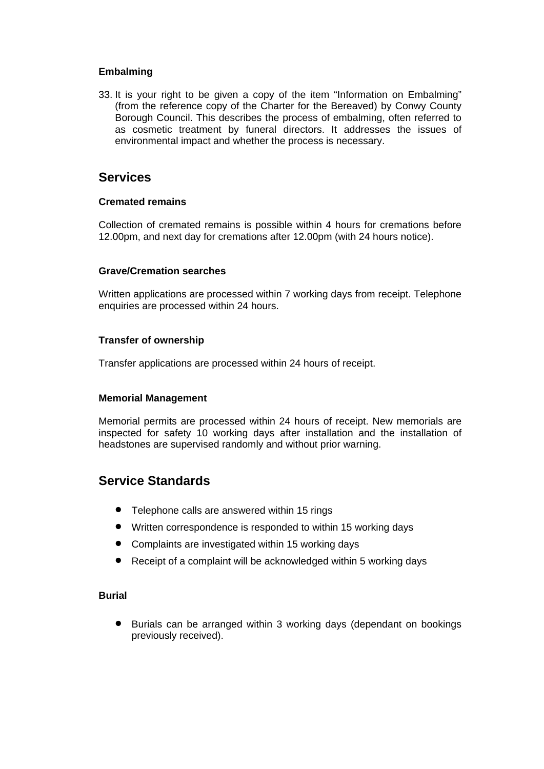## **Embalming**

33. It is your right to be given a copy of the item "Information on Embalming" (from the reference copy of the Charter for the Bereaved) by Conwy County Borough Council. This describes the process of embalming, often referred to as cosmetic treatment by funeral directors. It addresses the issues of environmental impact and whether the process is necessary.

## **Services**

#### **Cremated remains**

Collection of cremated remains is possible within 4 hours for cremations before 12.00pm, and next day for cremations after 12.00pm (with 24 hours notice).

## **Grave/Cremation searches**

Written applications are processed within 7 working days from receipt. Telephone enquiries are processed within 24 hours.

#### **Transfer of ownership**

Transfer applications are processed within 24 hours of receipt.

## **Memorial Management**

Memorial permits are processed within 24 hours of receipt. New memorials are inspected for safety 10 working days after installation and the installation of headstones are supervised randomly and without prior warning.

## **Service Standards**

- Telephone calls are answered within 15 rings
- Written correspondence is responded to within 15 working days
- Complaints are investigated within 15 working days
- Receipt of a complaint will be acknowledged within 5 working days

## **Burial**

 Burials can be arranged within 3 working days (dependant on bookings previously received).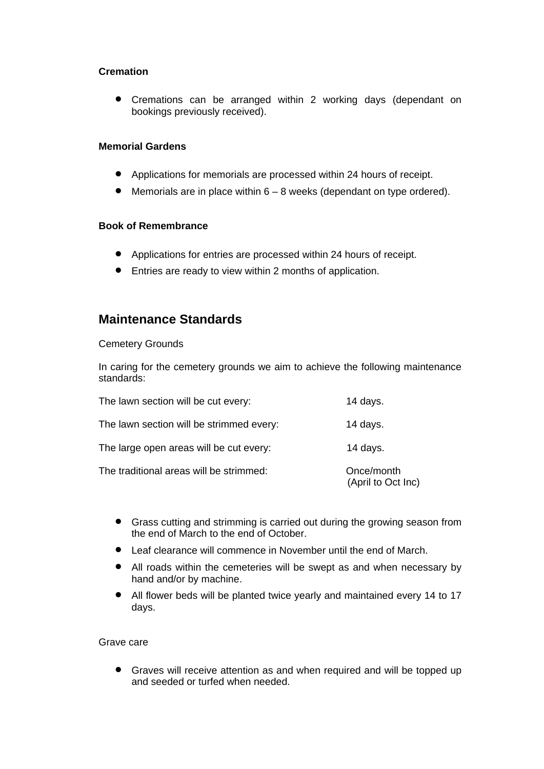## **Cremation**

 Cremations can be arranged within 2 working days (dependant on bookings previously received).

## **Memorial Gardens**

- Applications for memorials are processed within 24 hours of receipt.
- Memorials are in place within 6 8 weeks (dependant on type ordered).

#### **Book of Remembrance**

- Applications for entries are processed within 24 hours of receipt.
- Entries are ready to view within 2 months of application.

## **Maintenance Standards**

#### Cemetery Grounds

In caring for the cemetery grounds we aim to achieve the following maintenance standards:

| The lawn section will be cut every:      | 14 days.                         |
|------------------------------------------|----------------------------------|
| The lawn section will be strimmed every: | 14 days.                         |
| The large open areas will be cut every:  | 14 days.                         |
| The traditional areas will be strimmed:  | Once/month<br>(April to Oct Inc) |

- Grass cutting and strimming is carried out during the growing season from the end of March to the end of October.
- Leaf clearance will commence in November until the end of March.
- All roads within the cemeteries will be swept as and when necessary by hand and/or by machine.
- All flower beds will be planted twice yearly and maintained every 14 to 17 days.

#### Grave care

 Graves will receive attention as and when required and will be topped up and seeded or turfed when needed.